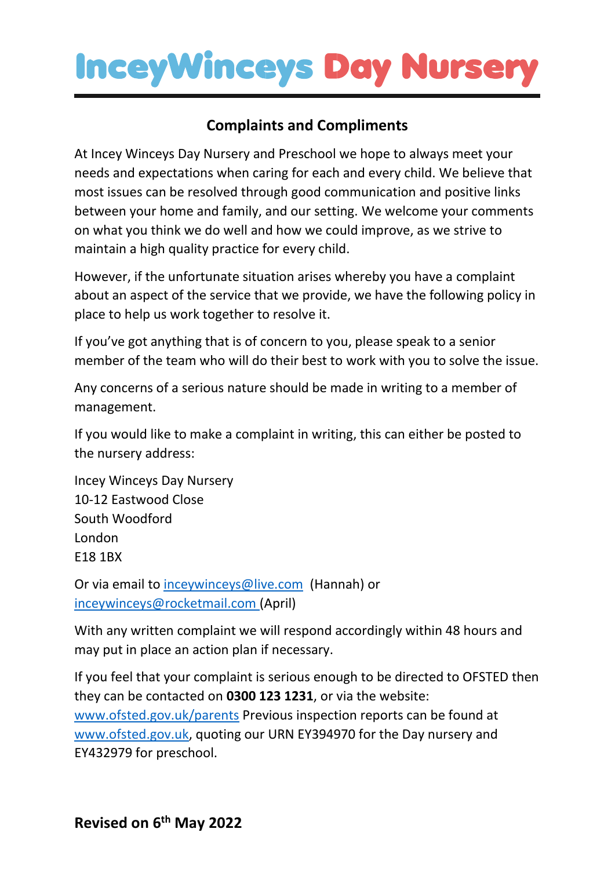## **InceyWinceys Day Nurser**

## **Complaints and Compliments**

At Incey Winceys Day Nursery and Preschool we hope to always meet your needs and expectations when caring for each and every child. We believe that most issues can be resolved through good communication and positive links between your home and family, and our setting. We welcome your comments on what you think we do well and how we could improve, as we strive to maintain a high quality practice for every child.

However, if the unfortunate situation arises whereby you have a complaint about an aspect of the service that we provide, we have the following policy in place to help us work together to resolve it.

If you've got anything that is of concern to you, please speak to a senior member of the team who will do their best to work with you to solve the issue.

Any concerns of a serious nature should be made in writing to a member of management.

If you would like to make a complaint in writing, this can either be posted to the nursery address:

Incey Winceys Day Nursery 10-12 Eastwood Close South Woodford London E18 1BX

Or via email to [inceywinceys@live.com](mailto:inceywinceys@live.com) (Hannah) or [inceywinceys@rocketmail.com](mailto:inceywinceys@rocketmail.com) (April)

With any written complaint we will respond accordingly within 48 hours and may put in place an action plan if necessary.

If you feel that your complaint is serious enough to be directed to OFSTED then they can be contacted on **0300 123 1231**, or via the website: [www.ofsted.gov.uk/parents](http://www.ofsted.gov.uk/parents) Previous inspection reports can be found at [www.ofsted.gov.uk,](http://www.ofsted.gov.uk/) quoting our URN EY394970 for the Day nursery and EY432979 for preschool.